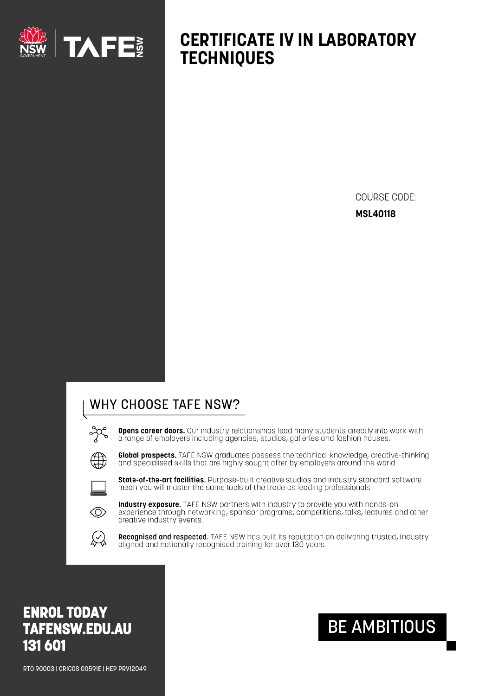

## **CERTIFICATE IV IN LABORATORY TECHNIQUES**

COURSE CODE: **MSL40118** 

### WHY CHOOSE TAFE NSW?

**Opens career doors.** Our industry relationships lead many students directly into work with a range of employers including agencies, studios, galleries and fashion houses.



Global prospects. TAFE NSW graduates possess the technical knowledge, creative-thinking and specialised skills that are highly sought after by employers around the world.



State-of-the-art facilities. Purpose-built creative studios and industry standard software mean you will master the same tools of the trade as leading professionals.



Industry exposure. TAFE NSW partners with industry to provide you with hands-on experience through networking, sponsor programs, competitions, talks, lectures and other creative industry events.



Recognised and respected. TAFE NSW has built its reputation on delivering trusted, industry aligned and nationally recognised training for over 130 years.

## **ENROL TODAY TAFENSW.EDU.AU** 131 601

RT0 90003 | CRICOS 00591E | HEP PRV12049

# **BE AMBITIOUS**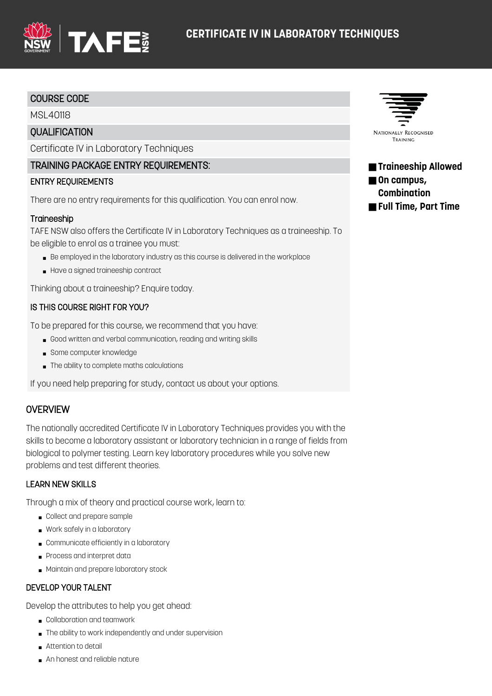

#### COURSE CODE

MSL40118

#### **OUALIFICATION**

Certificate IV in Laboratory Techniques

#### TRAINING PACKAGE ENTRY REQUIREMENTS:

#### ENTRY REQUIREMENTS

There are no entry requirements for this qualification. You can enrol now.

#### **Traineeship**

TAFE NSW also offers the Certificate IV in Laboratory Techniques as a traineeship. To be eligible to enrol as a trainee you must:

- Be employed in the laboratory industry as this course is delivered in the workplace
- Have a signed traineeship contract

Thinking about a traineeship? Enquire today.

#### IS THIS COURSE RIGHT FOR YOU?

To be prepared for this course, we recommend that you have:

- Good written and verbal communication, reading and writing skills
- Some computer knowledge
- The ability to complete maths calculations

If you need help preparing for study, contact us about your options.

#### **OVERVIEW**

The nationally accredited Certificate IV in Laboratory Techniques provides you with the skills to become a laboratory assistant or laboratory technician in a range of fields from biological to polymer testing. Learn key laboratory procedures while you solve new problems and test different theories.

#### LEARN NEW SKILLS

Through a mix of theory and practical course work, learn to:

- Collect and prepare sample
- Work safely in a laboratory
- Communicate efficiently in a laboratory
- Process and interpret data
- Maintain and prepare laboratory stock

#### DEVELOP YOUR TALENT

Develop the attributes to help you get ahead:

- Collaboration and teamwork
- The ability to work independently and under supervision
- Attention to detail
- An honest and reliable nature



■ **Traineeship Allowed** ■ On campus, **Combination** ■ **Full Time, Part Time**